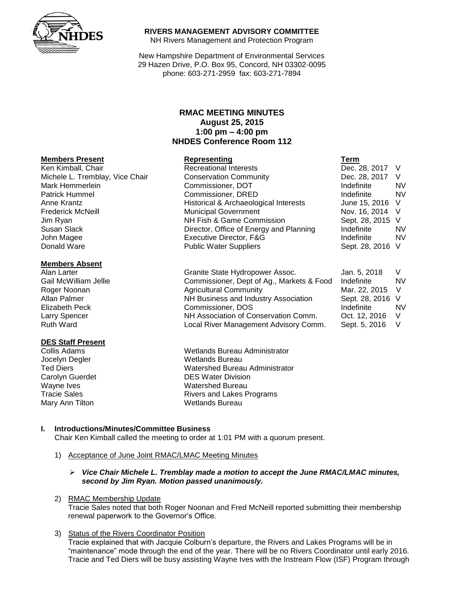

**Members Absent**

**DES Staff Present**

### **RIVERS MANAGEMENT ADVISORY COMMITTEE**

NH Rivers Management and Protection Program

New Hampshire Department of Environmental Services 29 Hazen Drive, P.O. Box 95, Concord, NH 03302-0095 phone: 603-271-2959 fax: 603-271-7894

# **RMAC MEETING MINUTES August 25, 2015 1:00 pm – 4:00 pm NHDES Conference Room 112**

# **Members Present Representing**

| INGIIINGI 9 LIGSCIII            | <b>IZAN CSERTING</b>                    | 1 CH 111         |           |
|---------------------------------|-----------------------------------------|------------------|-----------|
| Ken Kimball, Chair              | <b>Recreational Interests</b>           | Dec. 28, 2017 V  |           |
| Michele L. Tremblay, Vice Chair | <b>Conservation Community</b>           | Dec. 28, 2017    | - V       |
| Mark Hemmerlein                 | Commissioner, DOT                       | Indefinite       | <b>NV</b> |
| Patrick Hummel                  | Commissioner, DRED                      | Indefinite       | <b>NV</b> |
| Anne Krantz                     | Historical & Archaeological Interests   | June 15, 2016 V  |           |
| Frederick McNeill               | <b>Municipal Government</b>             | Nov. 16, 2014 V  |           |
| Jim Ryan                        | NH Fish & Game Commission               | Sept. 28, 2015 V |           |
| Susan Slack                     | Director, Office of Energy and Planning | Indefinite       | <b>NV</b> |
| John Magee                      | Executive Director, F&G                 | Indefinite       | <b>NV</b> |
| Donald Ware                     | <b>Public Water Suppliers</b>           | Sept. 28, 2016 V |           |
| <b>Members Absent</b>           |                                         |                  |           |

| Alan Larter           | Granite State Hydropower Assoc.           | Jan. 5, 2018     |           |
|-----------------------|-------------------------------------------|------------------|-----------|
| Gail McWilliam Jellie | Commissioner, Dept of Ag., Markets & Food | Indefinite       | <b>NV</b> |
| Roger Noonan          | <b>Agricultural Community</b>             | Mar. 22, 2015 V  |           |
| Allan Palmer          | NH Business and Industry Association      | Sept. 28, 2016 V |           |
| <b>Elizabeth Peck</b> | Commissioner, DOS                         | Indefinite       | NV.       |
| <b>Larry Spencer</b>  | NH Association of Conservation Comm.      | Oct. 12, 2016    |           |
| <b>Ruth Ward</b>      | Local River Management Advisory Comm.     | Sept. 5, 2016    |           |

**Collis Adams** Wetlands Bureau Administrator Jocelyn Degler Netlands Bureau Ted Diers Watershed Bureau Administrator Carolyn Guerdet **DES Water Division** Wayne Ives **Wayne Ives** Watershed Bureau Tracie Sales **Rivers** and Lakes Programs Mary Ann Tilton Wetlands Bureau

#### **I. Introductions/Minutes/Committee Business**

Chair Ken Kimball called the meeting to order at 1:01 PM with a quorum present.

- 1) Acceptance of June Joint RMAC/LMAC Meeting Minutes
	- *Vice Chair Michele L. Tremblay made a motion to accept the June RMAC/LMAC minutes, second by Jim Ryan. Motion passed unanimously.*
- 2) RMAC Membership Update

Tracie Sales noted that both Roger Noonan and Fred McNeill reported submitting their membership renewal paperwork to the Governor's Office.

# 3) Status of the Rivers Coordinator Position

Tracie explained that with Jacquie Colburn's departure, the Rivers and Lakes Programs will be in "maintenance" mode through the end of the year. There will be no Rivers Coordinator until early 2016. Tracie and Ted Diers will be busy assisting Wayne Ives with the Instream Flow (ISF) Program through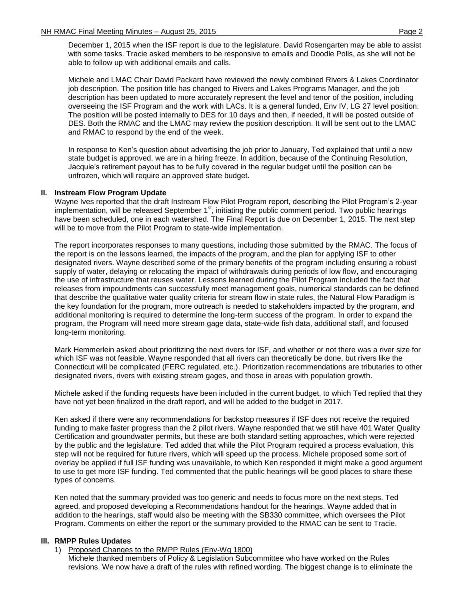December 1, 2015 when the ISF report is due to the legislature. David Rosengarten may be able to assist with some tasks. Tracie asked members to be responsive to emails and Doodle Polls, as she will not be able to follow up with additional emails and calls.

Michele and LMAC Chair David Packard have reviewed the newly combined Rivers & Lakes Coordinator job description. The position title has changed to Rivers and Lakes Programs Manager, and the job description has been updated to more accurately represent the level and tenor of the position, including overseeing the ISF Program and the work with LACs. It is a general funded, Env IV, LG 27 level position. The position will be posted internally to DES for 10 days and then, if needed, it will be posted outside of DES. Both the RMAC and the LMAC may review the position description. It will be sent out to the LMAC and RMAC to respond by the end of the week.

In response to Ken's question about advertising the job prior to January, Ted explained that until a new state budget is approved, we are in a hiring freeze. In addition, because of the Continuing Resolution, Jacquie's retirement payout has to be fully covered in the regular budget until the position can be unfrozen, which will require an approved state budget.

# **II. Instream Flow Program Update**

Wayne Ives reported that the draft Instream Flow Pilot Program report, describing the Pilot Program's 2-year implementation, will be released September 1<sup>st</sup>, initiating the public comment period. Two public hearings have been scheduled, one in each watershed. The Final Report is due on December 1, 2015. The next step will be to move from the Pilot Program to state-wide implementation.

The report incorporates responses to many questions, including those submitted by the RMAC. The focus of the report is on the lessons learned, the impacts of the program, and the plan for applying ISF to other designated rivers. Wayne described some of the primary benefits of the program including ensuring a robust supply of water, delaying or relocating the impact of withdrawals during periods of low flow, and encouraging the use of infrastructure that reuses water. Lessons learned during the Pilot Program included the fact that releases from impoundments can successfully meet management goals, numerical standards can be defined that describe the qualitative water quality criteria for stream flow in state rules, the Natural Flow Paradigm is the key foundation for the program, more outreach is needed to stakeholders impacted by the program, and additional monitoring is required to determine the long-term success of the program. In order to expand the program, the Program will need more stream gage data, state-wide fish data, additional staff, and focused long-term monitoring.

Mark Hemmerlein asked about prioritizing the next rivers for ISF, and whether or not there was a river size for which ISF was not feasible. Wayne responded that all rivers can theoretically be done, but rivers like the Connecticut will be complicated (FERC regulated, etc.). Prioritization recommendations are tributaries to other designated rivers, rivers with existing stream gages, and those in areas with population growth.

Michele asked if the funding requests have been included in the current budget, to which Ted replied that they have not yet been finalized in the draft report, and will be added to the budget in 2017.

Ken asked if there were any recommendations for backstop measures if ISF does not receive the required funding to make faster progress than the 2 pilot rivers. Wayne responded that we still have 401 Water Quality Certification and groundwater permits, but these are both standard setting approaches, which were rejected by the public and the legislature. Ted added that while the Pilot Program required a process evaluation, this step will not be required for future rivers, which will speed up the process. Michele proposed some sort of overlay be applied if full ISF funding was unavailable, to which Ken responded it might make a good argument to use to get more ISF funding. Ted commented that the public hearings will be good places to share these types of concerns.

Ken noted that the summary provided was too generic and needs to focus more on the next steps. Ted agreed, and proposed developing a Recommendations handout for the hearings. Wayne added that in addition to the hearings, staff would also be meeting with the SB330 committee, which oversees the Pilot Program. Comments on either the report or the summary provided to the RMAC can be sent to Tracie.

# **III. RMPP Rules Updates**

1) Proposed Changes to the RMPP Rules (Env-Wq 1800)

Michele thanked members of Policy & Legislation Subcommittee who have worked on the Rules revisions. We now have a draft of the rules with refined wording. The biggest change is to eliminate the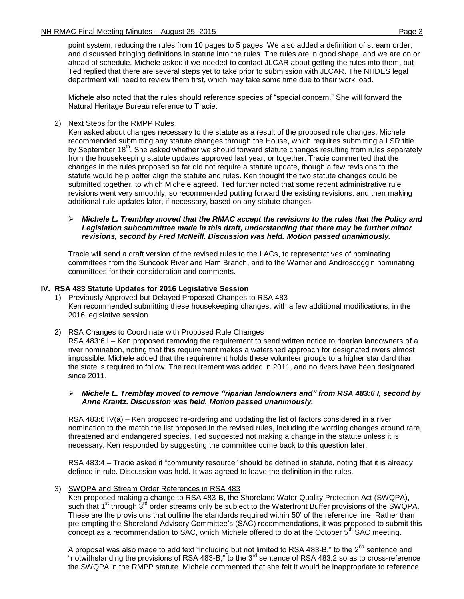point system, reducing the rules from 10 pages to 5 pages. We also added a definition of stream order, and discussed bringing definitions in statute into the rules. The rules are in good shape, and we are on or ahead of schedule. Michele asked if we needed to contact JLCAR about getting the rules into them, but Ted replied that there are several steps yet to take prior to submission with JLCAR. The NHDES legal department will need to review them first, which may take some time due to their work load.

Michele also noted that the rules should reference species of "special concern." She will forward the Natural Heritage Bureau reference to Tracie.

### 2) Next Steps for the RMPP Rules

Ken asked about changes necessary to the statute as a result of the proposed rule changes. Michele recommended submitting any statute changes through the House, which requires submitting a LSR title by September 18<sup>th</sup>. She asked whether we should forward statute changes resulting from rules separately from the housekeeping statute updates approved last year, or together. Tracie commented that the changes in the rules proposed so far did not require a statute update, though a few revisions to the statute would help better align the statute and rules. Ken thought the two statute changes could be submitted together, to which Michele agreed. Ted further noted that some recent administrative rule revisions went very smoothly, so recommended putting forward the existing revisions, and then making additional rule updates later, if necessary, based on any statute changes.

#### *Michele L. Tremblay moved that the RMAC accept the revisions to the rules that the Policy and Legislation subcommittee made in this draft, understanding that there may be further minor revisions, second by Fred McNeill. Discussion was held. Motion passed unanimously.*

Tracie will send a draft version of the revised rules to the LACs, to representatives of nominating committees from the Suncook River and Ham Branch, and to the Warner and Androscoggin nominating committees for their consideration and comments.

### **IV. RSA 483 Statute Updates for 2016 Legislative Session**

1) Previously Approved but Delayed Proposed Changes to RSA 483 Ken recommended submitting these housekeeping changes, with a few additional modifications, in the 2016 legislative session.

#### 2) RSA Changes to Coordinate with Proposed Rule Changes

RSA 483:6 I – Ken proposed removing the requirement to send written notice to riparian landowners of a river nomination, noting that this requirement makes a watershed approach for designated rivers almost impossible. Michele added that the requirement holds these volunteer groups to a higher standard than the state is required to follow. The requirement was added in 2011, and no rivers have been designated since 2011.

#### *Michele L. Tremblay moved to remove "riparian landowners and" from RSA 483:6 I, second by Anne Krantz. Discussion was held. Motion passed unanimously.*

RSA 483:6 IV(a) – Ken proposed re-ordering and updating the list of factors considered in a river nomination to the match the list proposed in the revised rules, including the wording changes around rare, threatened and endangered species. Ted suggested not making a change in the statute unless it is necessary. Ken responded by suggesting the committee come back to this question later.

RSA 483:4 – Tracie asked if "community resource" should be defined in statute, noting that it is already defined in rule. Discussion was held. It was agreed to leave the definition in the rules.

#### 3) SWQPA and Stream Order References in RSA 483

Ken proposed making a change to RSA 483-B, the Shoreland Water Quality Protection Act (SWQPA), such that  $1^{\text{st}}$  through  $3^{\text{rd}}$  order streams only be subject to the Waterfront Buffer provisions of the SWQPA. These are the provisions that outline the standards required within 50' of the reference line. Rather than pre-empting the Shoreland Advisory Committee's (SAC) recommendations, it was proposed to submit this concept as a recommendation to SAC, which Michele offered to do at the October  $5<sup>th</sup>$  SAC meeting.

A proposal was also made to add text "including but not limited to RSA 483-B," to the 2<sup>nd</sup> sentence and "notwithstanding the provisions of RSA 483-B," to the 3rd sentence of RSA 483:2 so as to cross-reference the SWQPA in the RMPP statute. Michele commented that she felt it would be inappropriate to reference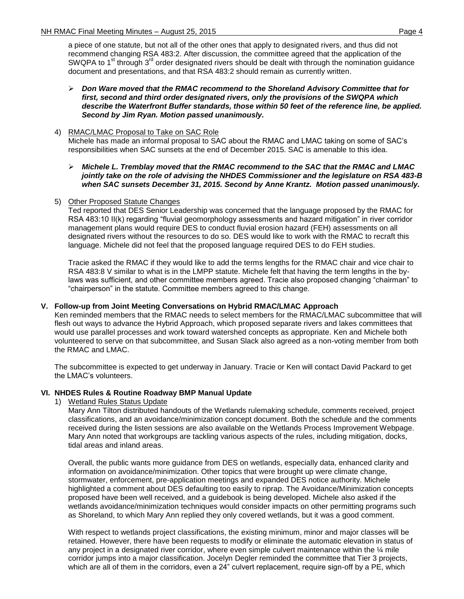a piece of one statute, but not all of the other ones that apply to designated rivers, and thus did not recommend changing RSA 483:2. After discussion, the committee agreed that the application of the SWQPA to 1<sup>st</sup> through 3<sup>rd</sup> order designated rivers should be dealt with through the nomination guidance document and presentations, and that RSA 483:2 should remain as currently written.

 *Don Ware moved that the RMAC recommend to the Shoreland Advisory Committee that for first, second and third order designated rivers, only the provisions of the SWQPA which describe the Waterfront Buffer standards, those within 50 feet of the reference line, be applied. Second by Jim Ryan. Motion passed unanimously.*

#### 4) RMAC/LMAC Proposal to Take on SAC Role

Michele has made an informal proposal to SAC about the RMAC and LMAC taking on some of SAC's responsibilities when SAC sunsets at the end of December 2015. SAC is amenable to this idea.

- *Michele L. Tremblay moved that the RMAC recommend to the SAC that the RMAC and LMAC jointly take on the role of advising the NHDES Commissioner and the legislature on RSA 483-B when SAC sunsets December 31, 2015. Second by Anne Krantz. Motion passed unanimously.*
- 5) Other Proposed Statute Changes

Ted reported that DES Senior Leadership was concerned that the language proposed by the RMAC for RSA 483:10 II(k) regarding "fluvial geomorphology assessments and hazard mitigation" in river corridor management plans would require DES to conduct fluvial erosion hazard (FEH) assessments on all designated rivers without the resources to do so. DES would like to work with the RMAC to recraft this language. Michele did not feel that the proposed language required DES to do FEH studies.

Tracie asked the RMAC if they would like to add the terms lengths for the RMAC chair and vice chair to RSA 483:8 V similar to what is in the LMPP statute. Michele felt that having the term lengths in the bylaws was sufficient, and other committee members agreed. Tracie also proposed changing "chairman" to "chairperson" in the statute. Committee members agreed to this change.

# **V. Follow-up from Joint Meeting Conversations on Hybrid RMAC/LMAC Approach**

Ken reminded members that the RMAC needs to select members for the RMAC/LMAC subcommittee that will flesh out ways to advance the Hybrid Approach, which proposed separate rivers and lakes committees that would use parallel processes and work toward watershed concepts as appropriate. Ken and Michele both volunteered to serve on that subcommittee, and Susan Slack also agreed as a non-voting member from both the RMAC and LMAC.

The subcommittee is expected to get underway in January. Tracie or Ken will contact David Packard to get the LMAC's volunteers.

# **VI. NHDES Rules & Routine Roadway BMP Manual Update**

1) Wetland Rules Status Update

Mary Ann Tilton distributed handouts of the Wetlands rulemaking schedule, comments received, project classifications, and an avoidance/minimization concept document. Both the schedule and the comments received during the listen sessions are also available on the Wetlands Process Improvement Webpage. Mary Ann noted that workgroups are tackling various aspects of the rules, including mitigation, docks, tidal areas and inland areas.

Overall, the public wants more guidance from DES on wetlands, especially data, enhanced clarity and information on avoidance/minimization. Other topics that were brought up were climate change, stormwater, enforcement, pre-application meetings and expanded DES notice authority. Michele highlighted a comment about DES defaulting too easily to riprap. The Avoidance/Minimization concepts proposed have been well received, and a guidebook is being developed. Michele also asked if the wetlands avoidance/minimization techniques would consider impacts on other permitting programs such as Shoreland, to which Mary Ann replied they only covered wetlands, but it was a good comment.

With respect to wetlands project classifications, the existing minimum, minor and major classes will be retained. However, there have been requests to modify or eliminate the automatic elevation in status of any project in a designated river corridor, where even simple culvert maintenance within the  $\frac{1}{4}$  mile corridor jumps into a major classification. Jocelyn Degler reminded the committee that Tier 3 projects, which are all of them in the corridors, even a 24" culvert replacement, require sign-off by a PE, which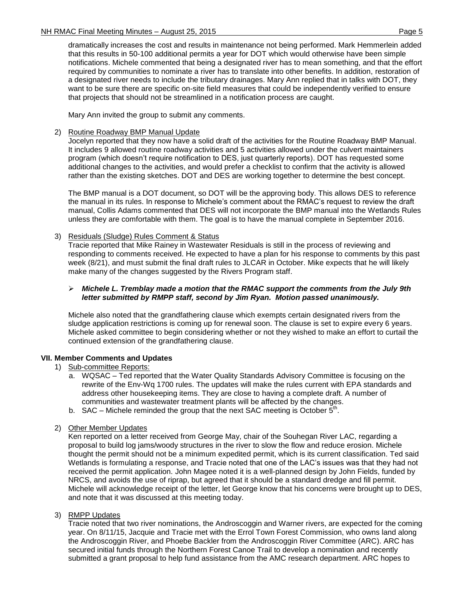dramatically increases the cost and results in maintenance not being performed. Mark Hemmerlein added that this results in 50-100 additional permits a year for DOT which would otherwise have been simple notifications. Michele commented that being a designated river has to mean something, and that the effort required by communities to nominate a river has to translate into other benefits. In addition, restoration of a designated river needs to include the tributary drainages. Mary Ann replied that in talks with DOT, they want to be sure there are specific on-site field measures that could be independently verified to ensure that projects that should not be streamlined in a notification process are caught.

Mary Ann invited the group to submit any comments.

### 2) Routine Roadway BMP Manual Update

Jocelyn reported that they now have a solid draft of the activities for the Routine Roadway BMP Manual. It includes 9 allowed routine roadway activities and 5 activities allowed under the culvert maintainers program (which doesn't require notification to DES, just quarterly reports). DOT has requested some additional changes to the activities, and would prefer a checklist to confirm that the activity is allowed rather than the existing sketches. DOT and DES are working together to determine the best concept.

The BMP manual is a DOT document, so DOT will be the approving body. This allows DES to reference the manual in its rules. In response to Michele's comment about the RMAC's request to review the draft manual, Collis Adams commented that DES will not incorporate the BMP manual into the Wetlands Rules unless they are comfortable with them. The goal is to have the manual complete in September 2016.

### 3) Residuals (Sludge) Rules Comment & Status

Tracie reported that Mike Rainey in Wastewater Residuals is still in the process of reviewing and responding to comments received. He expected to have a plan for his response to comments by this past week (8/21), and must submit the final draft rules to JLCAR in October. Mike expects that he will likely make many of the changes suggested by the Rivers Program staff.

### *Michele L. Tremblay made a motion that the RMAC support the comments from the July 9th letter submitted by RMPP staff, second by Jim Ryan. Motion passed unanimously.*

Michele also noted that the grandfathering clause which exempts certain designated rivers from the sludge application restrictions is coming up for renewal soon. The clause is set to expire every 6 years. Michele asked committee to begin considering whether or not they wished to make an effort to curtail the continued extension of the grandfathering clause.

# **VII. Member Comments and Updates**

# 1) Sub-committee Reports:

- a. WQSAC Ted reported that the Water Quality Standards Advisory Committee is focusing on the rewrite of the Env-Wq 1700 rules. The updates will make the rules current with EPA standards and address other housekeeping items. They are close to having a complete draft. A number of communities and wastewater treatment plants will be affected by the changes.
- b. SAC Michele reminded the group that the next SAC meeting is October  $\bar{5}^{th}$ .

# 2) Other Member Updates

Ken reported on a letter received from George May, chair of the Souhegan River LAC, regarding a proposal to build log jams/woody structures in the river to slow the flow and reduce erosion. Michele thought the permit should not be a minimum expedited permit, which is its current classification. Ted said Wetlands is formulating a response, and Tracie noted that one of the LAC's issues was that they had not received the permit application. John Magee noted it is a well-planned design by John Fields, funded by NRCS, and avoids the use of riprap, but agreed that it should be a standard dredge and fill permit. Michele will acknowledge receipt of the letter, let George know that his concerns were brought up to DES, and note that it was discussed at this meeting today.

# 3) RMPP Updates

Tracie noted that two river nominations, the Androscoggin and Warner rivers, are expected for the coming year. On 8/11/15, Jacquie and Tracie met with the Errol Town Forest Commission, who owns land along the Androscoggin River, and Phoebe Backler from the Androscoggin River Committee (ARC). ARC has secured initial funds through the Northern Forest Canoe Trail to develop a nomination and recently submitted a grant proposal to help fund assistance from the AMC research department. ARC hopes to